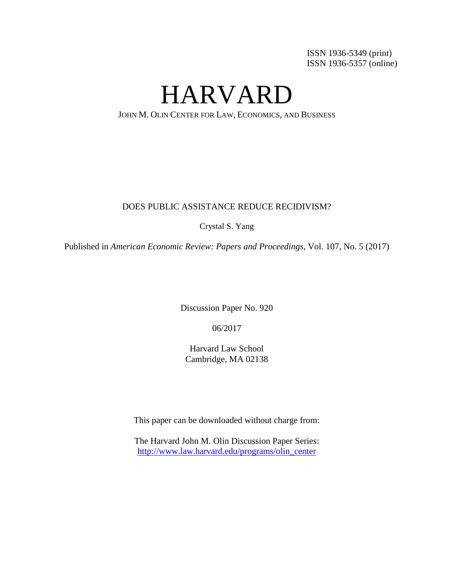ISSN 1936-5349 (print) ISSN 1936-5357 (online)

HARVARD

JOHN M. OLIN CENTER FOR LAW, ECONOMICS, AND BUSINESS

# DOES PUBLIC ASSISTANCE REDUCE RECIDIVISM?

Crystal S. Yang

Published in *American Economic Review: Papers and Proceedings*, Vol. 107, No. 5 (2017)

Discussion Paper No. 920

06/2017

Harvard Law School Cambridge, MA 02138

This paper can be downloaded without charge from:

The Harvard John M. Olin Discussion Paper Series: [http://www.law.harvard.edu/programs/olin\\_center](http://www.law.harvard.edu/programs/olin_center)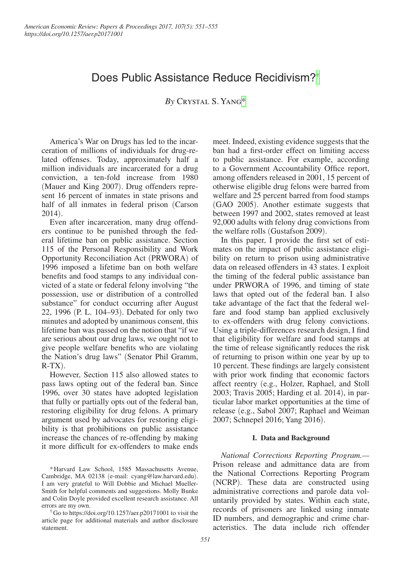# Does Public Assistance Reduce Recidivism?[†](#page-1-0)

*By* Crystal S. Yang[\\*](#page-1-1)

America's War on Drugs has led to the incarceration of millions of individuals for drug-related offenses. Today, approximately half a million individuals are incarcerated for a drug conviction, a ten-fold increase from 1980 (Mauer and King 2007). Drug offenders represent 16 percent of inmates in state prisons and half of all inmates in federal prison (Carson 2014).

Even after incarceration, many drug offenders continue to be punished through the federal lifetime ban on public assistance. Section 115 of the Personal Responsibility and Work Opportunity Reconciliation Act (PRWORA) of 1996 imposed a lifetime ban on both welfare benefits and food stamps to any individual convicted of a state or federal felony involving "the possession, use or distribution of a controlled substance" for conduct occurring after August 22, 1996 (P. L. 104–93). Debated for only two minutes and adopted by unanimous consent, this lifetime ban was passed on the notion that "if we are serious about our drug laws, we ought not to give people welfare benefits who are violating the Nation's drug laws" (Senator Phil Gramm,  $R-TX$ ).

However, Section 115 also allowed states to pass laws opting out of the federal ban. Since 1996, over 30 states have adopted legislation that fully or partially opts out of the federal ban, restoring eligibility for drug felons. A primary argument used by advocates for restoring eligibility is that prohibitions on public assistance increase the chances of re-offending by making it more difficult for ex-offenders to make ends

<span id="page-1-0"></span>†Go to https://doi.org/10.1257/aer.p20171001 to visit the article page for additional materials and author disclosure statement.

meet. Indeed, existing evidence suggests that the ban had a first-order effect on limiting access to public assistance. For example, according to a Government Accountability Office report, among offenders released in 2001, 15 percent of otherwise eligible drug felons were barred from welfare and 25 percent barred from food stamps (GAO 2005). Another estimate suggests that between 1997 and 2002, states removed at least 92,000 adults with felony drug convictions from the welfare rolls (Gustafson 2009).

In this paper, I provide the first set of estimates on the impact of public assistance eligibility on return to prison using administrative data on released offenders in 43 states. I exploit the timing of the federal public assistance ban under PRWORA of 1996, and timing of state laws that opted out of the federal ban. I also take advantage of the fact that the federal welfare and food stamp ban applied exclusively to ex-offenders with drug felony convictions. Using a triple-differences research design, I find that eligibility for welfare and food stamps at the time of release significantly reduces the risk of returning to prison within one year by up to 10 percent. These findings are largely consistent with prior work finding that economic factors affect reentry (e.g., Holzer, Raphael, and Stoll 2003; Travis 2005; Harding et al. 2014), in particular labor market opportunities at the time of release (e.g., Sabol 2007; Raphael and Weiman 2007; Schnepel 2016; Yang 2016).

## **I. Data and Background**

*National Corrections Reporting Program.—* Prison release and admittance data are from the National Corrections Reporting Program (NCRP). These data are constructed using administrative corrections and parole data voluntarily provided by states. Within each state, records of prisoners are linked using inmate ID numbers, and demographic and crime characteristics. The data include rich offender

<span id="page-1-1"></span><sup>\*</sup>Harvard Law School, 1585 Massachusetts Avenue, Cambridge, MA 02138 (e-mail: cyang@law.harvard.edu). I am very grateful to Will Dobbie and Michael Mueller-Smith for helpful comments and suggestions. Molly Bunke and Colin Doyle provided excellent research assistance. All errors are my own.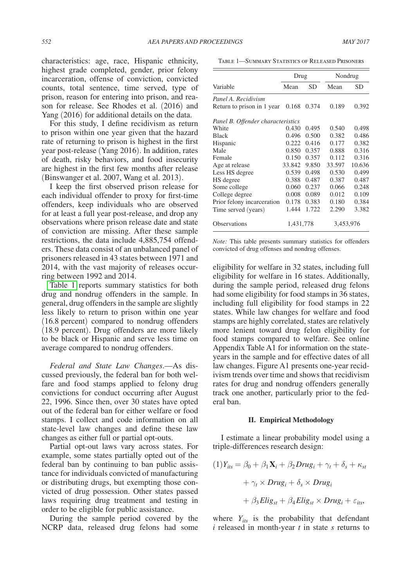characteristics: age, race, Hispanic ethnicity, highest grade completed, gender, prior felony incarceration, offense of conviction, convicted counts, total sentence, time served, type of prison, reason for entering into prison, and reason for release. See Rhodes et al. (2016) and Yang (2016) for additional details on the data.

For this study, I define recidivism as return to prison within one year given that the hazard rate of returning to prison is highest in the first year post-release (Yang 2016). In addition, rates of death, risky behaviors, and food insecurity are highest in the first few months after release (Binswanger et al. 2007, Wang et al. 2013).

I keep the first observed prison release for each individual offender to proxy for first-time offenders, keep individuals who are observed for at least a full year post-release, and drop any observations where prison release date and state of conviction are missing. After these sample restrictions, the data include 4,885,754 offenders. These data consist of an unbalanced panel of prisoners released in 43 states between 1971 and 2014, with the vast majority of releases occurring between 1992 and 2014.

Table 1 reports summary statistics for both drug and nondrug offenders in the sample. In general, drug offenders in the sample are slightly less likely to return to prison within one year (16.8 percent) compared to nondrug offenders (18.9 percent). Drug offenders are more likely to be black or Hispanic and serve less time on average compared to nondrug offenders.

*Federal and State Law Changes*.—As discussed previously, the federal ban for both welfare and food stamps applied to felony drug convictions for conduct occurring after August 22, 1996. Since then, over 30 states have opted out of the federal ban for either welfare or food stamps. I collect and code information on all state-level law changes and define these law changes as either full or partial opt-outs.

Partial opt-out laws vary across states. For example, some states partially opted out of the federal ban by continuing to ban public assistance for individuals convicted of manufacturing or distributing drugs, but exempting those convicted of drug possession. Other states passed laws requiring drug treatment and testing in order to be eligible for public assistance.

During the sample period covered by the NCRP data, released drug felons had some

Table 1—Summary Statistics of Released Prisoners

|                                   | Drug      |       | Nondrug   |        |  |
|-----------------------------------|-----------|-------|-----------|--------|--|
| Variable                          | Mean      | SD    | Mean      | SD     |  |
| Panel A. Recidivism               |           |       |           |        |  |
| Return to prison in 1 year        | 0.168     | 0.374 | 0.189     | 0.392  |  |
| Panel B. Offender characteristics |           |       |           |        |  |
| White                             | 0.430     | 0.495 | 0.540     | 0.498  |  |
| <b>Black</b>                      | 0.496     | 0.500 | 0.382     | 0.486  |  |
| Hispanic                          | 0.222     | 0.416 | 0.177     | 0.382  |  |
| Male                              | 0.850     | 0.357 | 0.888     | 0.316  |  |
| Female                            | 0.150     | 0.357 | 0.112     | 0.316  |  |
| Age at release                    | 33.842    | 9.850 | 33.597    | 10.636 |  |
| Less HS degree                    | 0.539     | 0.498 | 0.530     | 0.499  |  |
| HS degree                         | 0.388     | 0.487 | 0.387     | 0.487  |  |
| Some college                      | 0.060     | 0.237 | 0.066     | 0.248  |  |
| College degree                    | 0.008     | 0.089 | 0.012     | 0.109  |  |
| Prior felony incarceration        | 0.178     | 0.383 | 0.180     | 0.384  |  |
| Time served (years)               | 1.444     | 1.722 | 2.290     | 3.382  |  |
| <b>Observations</b>               | 1,431,778 |       | 3,453,976 |        |  |

*Note:* This table presents summary statistics for offenders convicted of drug offenses and nondrug offenses.

eligibility for welfare in 32 states, including full eligibility for welfare in 16 states. Additionally, during the sample period, released drug felons had some eligibility for food stamps in 36 states, including full eligibility for food stamps in 22 states. While law changes for welfare and food stamps are highly correlated, states are relatively more lenient toward drug felon eligibility for food stamps compared to welfare. See online Appendix Table A1 for information on the stateyears in the sample and for effective dates of all law changes. Figure A1 presents one-year recidivism trends over time and shows that recidivism rates for drug and nondrug offenders generally track one another, particularly prior to the federal ban.

## **II. Empirical Methodology**

I estimate a linear probability model using a triple-differences research design:

$$
(1)Y_{its} = \beta_0 + \beta_1 \mathbf{X}_i + \beta_2 Drug_i + \gamma_t + \delta_s + \kappa_{st}
$$

$$
+ \gamma_t \times Drug_i + \delta_s \times Drug_i
$$

$$
+ \beta_3Ellig_{st} + \beta_4Ellig_{st} \times Drug_i + \varepsilon_{its},
$$

where  $Y_{its}$  is the probability that defendant *i* released in month-year *t* in state *s* returns to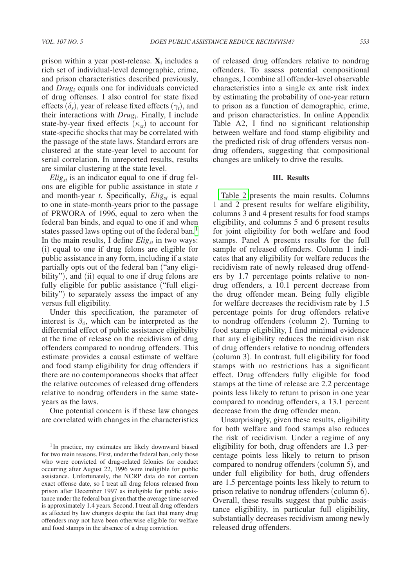prison within a year post-release. **X***<sup>i</sup>* includes a rich set of individual-level demographic, crime, and prison characteristics described previously, and *Drug<sub>i</sub>* equals one for individuals convicted of drug offenses. I also control for state fixed effects  $(\delta_s)$ , year of release fixed effects  $(\gamma_t)$ , and their interactions with *Drugi* . Finally, I include state-by-year fixed effects  $(\kappa_{st})$  to account for state-specific shocks that may be correlated with the passage of the state laws. Standard errors are clustered at the state-year level to account for serial correlation. In unreported results, results are similar clustering at the state level.

 $Elig<sub>st</sub>$  is an indicator equal to one if drug felons are eligible for public assistance in state *s* and month-year *t*. Specifically, *Elig<sub>st</sub>* is equal to one in state-month-years prior to the passage of PRWORA of 1996, equal to zero when the federal ban binds, and equal to one if and when states passed laws opting out of the federal ban.<sup>1</sup> In the main results, I define  $Elig_{st}$  in two ways: (i) equal to one if drug felons are eligible for public assistance in any form, including if a state partially opts out of the federal ban ("any eligibility"), and (ii) equal to one if drug felons are fully eligible for public assistance ("full eligibility") to separately assess the impact of any versus full eligibility.

Under this specification, the parameter of interest is  $\beta_4$ , which can be interpreted as the differential effect of public assistance eligibility at the time of release on the recidivism of drug offenders compared to nondrug offenders. This estimate provides a causal estimate of welfare and food stamp eligibility for drug offenders if there are no contemporaneous shocks that affect the relative outcomes of released drug offenders relative to nondrug offenders in the same stateyears as the laws.

One potential concern is if these law changes are correlated with changes in the characteristics of released drug offenders relative to nondrug offenders. To assess potential compositional changes, I combine all offender-level observable characteristics into a single ex ante risk index by estimating the probability of one-year return to prison as a function of demographic, crime, and prison characteristics. In online Appendix Table A2, I find no significant relationship between welfare and food stamp eligibility and the predicted risk of drug offenders versus nondrug offenders, suggesting that compositional changes are unlikely to drive the results.

## **III. Results**

[Table 2](#page-4-0) presents the main results. Columns 1 and 2 present results for welfare eligibility, columns 3 and 4 present results for food stamps eligibility, and columns 5 and 6 present results for joint eligibility for both welfare and food stamps. Panel A presents results for the full sample of released offenders. Column 1 indicates that any eligibility for welfare reduces the recidivism rate of newly released drug offenders by 1.7 percentage points relative to nondrug offenders, a 10.1 percent decrease from the drug offender mean. Being fully eligible for welfare decreases the recidivism rate by 1.5 percentage points for drug offenders relative to nondrug offenders (column 2). Turning to food stamp eligibility, I find minimal evidence that any eligibility reduces the recidivism risk of drug offenders relative to nondrug offenders (column 3). In contrast, full eligibility for food stamps with no restrictions has a significant effect. Drug offenders fully eligible for food stamps at the time of release are 2.2 percentage points less likely to return to prison in one year compared to nondrug offenders, a 13.1 percent decrease from the drug offender mean.

Unsurprisingly, given these results, eligibility for both welfare and food stamps also reduces the risk of recidivism. Under a regime of any eligibility for both, drug offenders are 1.3 percentage points less likely to return to prison compared to nondrug offenders (column 5), and under full eligibility for both, drug offenders are 1.5 percentage points less likely to return to prison relative to nondrug offenders (column 6). Overall, these results suggest that public assistance eligibility, in particular full eligibility, substantially decreases recidivism among newly released drug offenders.

<span id="page-3-0"></span><sup>&</sup>lt;sup>1</sup>In practice, my estimates are likely downward biased for two main reasons. First, under the federal ban, only those who were convicted of drug-related felonies for conduct occurring after August 22, 1996 were ineligible for public assistance. Unfortunately, the NCRP data do not contain exact offense date, so I treat all drug felons released from prison after December 1997 as ineligible for public assistance under the federal ban given that the average time served is approximately 1.4 years. Second, I treat all drug offenders as affected by law changes despite the fact that many drug offenders may not have been otherwise eligible for welfare and food stamps in the absence of a drug conviction.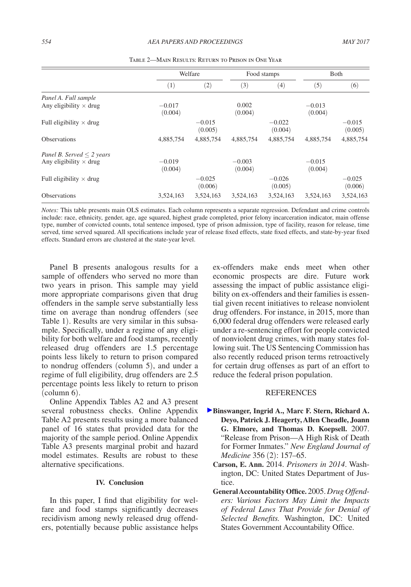<span id="page-4-0"></span>

|                                |                     | Welfare             |                     | Food stamps         |                     | Both                |  |
|--------------------------------|---------------------|---------------------|---------------------|---------------------|---------------------|---------------------|--|
|                                | (1)                 | (2)                 | (3)                 | (4)                 | (5)                 | (6)                 |  |
| Panel A. Full sample           |                     |                     |                     |                     |                     |                     |  |
| Any eligibility $\times$ drug  | $-0.017$<br>(0.004) |                     | 0.002<br>(0.004)    |                     | $-0.013$<br>(0.004) |                     |  |
| Full eligibility $\times$ drug |                     | $-0.015$<br>(0.005) |                     | $-0.022$<br>(0.004) |                     | $-0.015$<br>(0.005) |  |
| <b>Observations</b>            | 4,885,754           | 4,885,754           | 4,885,754           | 4,885,754           | 4.885.754           | 4,885,754           |  |
| Panel B. Served $\leq$ 2 years |                     |                     |                     |                     |                     |                     |  |
| Any eligibility $\times$ drug  | $-0.019$<br>(0.004) |                     | $-0.003$<br>(0.004) |                     | $-0.015$<br>(0.004) |                     |  |
| Full eligibility $\times$ drug |                     | $-0.025$<br>(0.006) |                     | $-0.026$<br>(0.005) |                     | $-0.025$<br>(0.006) |  |
| <b>Observations</b>            | 3,524,163           | 3,524,163           | 3,524,163           | 3,524,163           | 3,524,163           | 3,524,163           |  |

Table 2—Main Results: Return to Prison in One Year

*Notes:* This table presents main OLS estimates. Each column represents a separate regression. Defendant and crime controls include: race, ethnicity, gender, age, age squared, highest grade completed, prior felony incarceration indicator, main offense type, number of convicted counts, total sentence imposed, type of prison admission, type of facility, reason for release, time served, time served squared. All specifications include year of release fixed effects, state fixed effects, and state-by-year fixed effects. Standard errors are clustered at the state-year level.

Panel B presents analogous results for a sample of offenders who served no more than two years in prison. This sample may yield more appropriate comparisons given that drug offenders in the sample serve substantially less time on average than nondrug offenders (see Table 1). Results are very similar in this subsample. Specifically, under a regime of any eligibility for both welfare and food stamps, recently released drug offenders are 1.5 percentage points less likely to return to prison compared to nondrug offenders (column 5), and under a regime of full eligibility, drug offenders are 2.5 percentage points less likely to return to prison (column 6).

Online Appendix Tables A2 and A3 present several robustness checks. Online Appendix Table A2 presents results using a more balanced panel of 16 states that provided data for the majority of the sample period. Online Appendix Table A3 presents marginal probit and hazard model estimates. Results are robust to these alternative specifications.

#### **IV. Conclusion**

In this paper, I find that eligibility for welfare and food stamps significantly decreases recidivism among newly released drug offenders, potentially because public assistance helps ex-offenders make ends meet when other economic prospects are dire. Future work assessing the impact of public assistance eligibility on ex-offenders and their families is essential given recent initiatives to release nonviolent drug offenders. For instance, in 2015, more than 6,000 federal drug offenders were released early under a re-sentencing effort for people convicted of nonviolent drug crimes, with many states following suit. The US Sentencing Commission has also recently reduced prison terms retroactively for certain drug offenses as part of an effort to reduce the federal prison population.

#### **REFERENCES**

- **Binswanger, Ingrid A., Marc F. Stern, Richard A. Deyo, Patrick J. Heagerty, Allen Cheadle, Joann G. Elmore, and Thomas D. Koepsell.** 2007. "Release from Prison—A High Risk of Death for Former Inmates." *New England Journal of Medicine* 356 (2): 157–65.
	- **Carson, E. Ann.** 2014. *Prisoners in 2014*. Washington, DC: United States Department of Justice.
	- **General Accountability Office.** 2005. *Drug Offenders: Various Factors May Limit the Impacts of Federal Laws That Provide for Denial of Selected Benefits.* Washington, DC: United States Government Accountability Office.